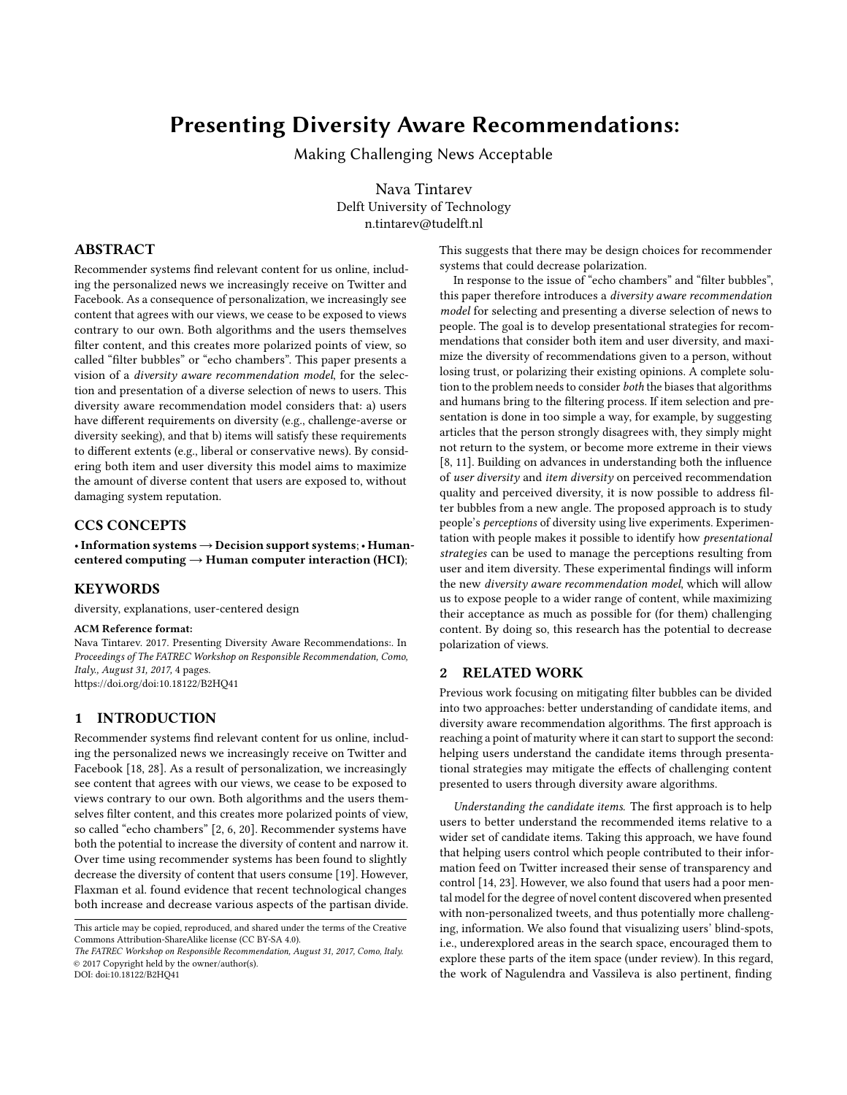# Presenting Diversity Aware Recommendations:

Making Challenging News Acceptable

Nava Tintarev Delft University of Technology n.tintarev@tudelft.nl

## ABSTRACT

Recommender systems find relevant content for us online, including the personalized news we increasingly receive on Twitter and Facebook. As a consequence of personalization, we increasingly see content that agrees with our views, we cease to be exposed to views contrary to our own. Both algorithms and the users themselves filter content, and this creates more polarized points of view, so called "filter bubbles" or "echo chambers". This paper presents a vision of a diversity aware recommendation model, for the selection and presentation of a diverse selection of news to users. This diversity aware recommendation model considers that: a) users have different requirements on diversity (e.g., challenge-averse or diversity seeking), and that b) items will satisfy these requirements to different extents (e.g., liberal or conservative news). By considering both item and user diversity this model aims to maximize the amount of diverse content that users are exposed to, without damaging system reputation.

#### CCS CONCEPTS

•Information systems→Decision support systems;• Humancentered computing  $\rightarrow$  Human computer interaction (HCI);

## **KEYWORDS**

diversity, explanations, user-centered design

## ACM Reference format:

Nava Tintarev. 2017. Presenting Diversity Aware Recommendations:. In Proceedings of The FATREC Workshop on Responsible Recommendation, Como, Italy., August 31, 2017, [4](#page-3-0) pages. <https://doi.org/doi:10.18122/B2HQ41>

# 1 INTRODUCTION

Recommender systems find relevant content for us online, including the personalized news we increasingly receive on Twitter and Facebook [\[18,](#page-3-1) [28\]](#page-3-2). As a result of personalization, we increasingly see content that agrees with our views, we cease to be exposed to views contrary to our own. Both algorithms and the users themselves filter content, and this creates more polarized points of view, so called "echo chambers" [\[2,](#page-3-3) [6,](#page-3-4) [20\]](#page-3-5). Recommender systems have both the potential to increase the diversity of content and narrow it. Over time using recommender systems has been found to slightly decrease the diversity of content that users consume [\[19\]](#page-3-6). However, Flaxman et al. found evidence that recent technological changes both increase and decrease various aspects of the partisan divide.

DOI: doi:10.18122/B2HO41

This suggests that there may be design choices for recommender systems that could decrease polarization.

In response to the issue of "echo chambers" and "filter bubbles", this paper therefore introduces a diversity aware recommendation model for selecting and presenting a diverse selection of news to people. The goal is to develop presentational strategies for recommendations that consider both item and user diversity, and maximize the diversity of recommendations given to a person, without losing trust, or polarizing their existing opinions. A complete solution to the problem needs to consider both the biases that algorithms and humans bring to the filtering process. If item selection and presentation is done in too simple a way, for example, by suggesting articles that the person strongly disagrees with, they simply might not return to the system, or become more extreme in their views [\[8,](#page-3-7) [11\]](#page-3-8). Building on advances in understanding both the influence of user diversity and item diversity on perceived recommendation quality and perceived diversity, it is now possible to address filter bubbles from a new angle. The proposed approach is to study people's perceptions of diversity using live experiments. Experimentation with people makes it possible to identify how presentational strategies can be used to manage the perceptions resulting from user and item diversity. These experimental findings will inform the new diversity aware recommendation model, which will allow us to expose people to a wider range of content, while maximizing their acceptance as much as possible for (for them) challenging content. By doing so, this research has the potential to decrease polarization of views.

# 2 RELATED WORK

Previous work focusing on mitigating filter bubbles can be divided into two approaches: better understanding of candidate items, and diversity aware recommendation algorithms. The first approach is reaching a point of maturity where it can start to support the second: helping users understand the candidate items through presentational strategies may mitigate the effects of challenging content presented to users through diversity aware algorithms.

Understanding the candidate items. The first approach is to help users to better understand the recommended items relative to a wider set of candidate items. Taking this approach, we have found that helping users control which people contributed to their information feed on Twitter increased their sense of transparency and control [\[14,](#page-3-9) [23\]](#page-3-10). However, we also found that users had a poor mental model for the degree of novel content discovered when presented with non-personalized tweets, and thus potentially more challenging, information. We also found that visualizing users' blind-spots, i.e., underexplored areas in the search space, encouraged them to explore these parts of the item space (under review). In this regard, the work of Nagulendra and Vassileva is also pertinent, finding

This article may be copied, reproduced, and shared under the terms of the Creative Commons Attribution-ShareAlike license (CC BY-SA 4.0).

The FATREC Workshop on Responsible Recommendation, August 31, 2017, Como, Italy. © 2017 Copyright held by the owner/author(s).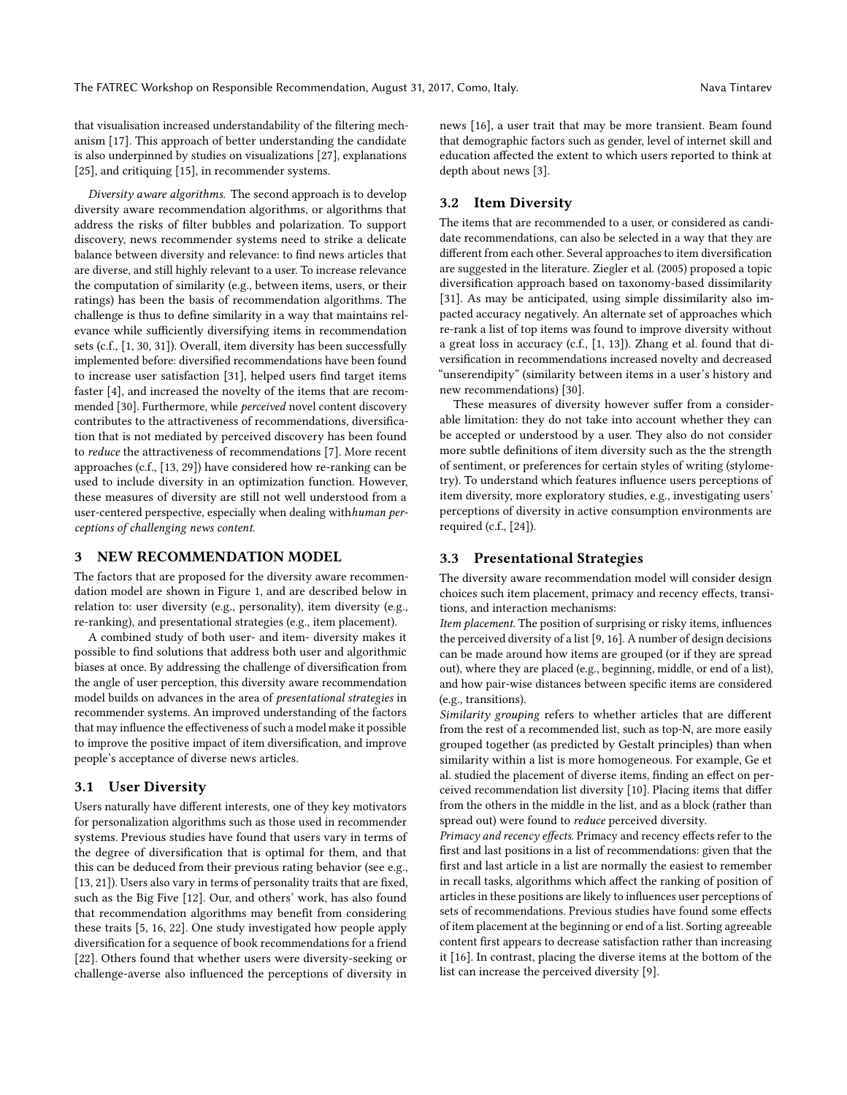that visualisation increased understandability of the filtering mechanism [\[17\]](#page-3-11). This approach of better understanding the candidate is also underpinned by studies on visualizations [\[27\]](#page-3-12), explanations [\[25\]](#page-3-13), and critiquing [\[15\]](#page-3-14), in recommender systems.

Diversity aware algorithms. The second approach is to develop diversity aware recommendation algorithms, or algorithms that address the risks of filter bubbles and polarization. To support discovery, news recommender systems need to strike a delicate balance between diversity and relevance: to find news articles that are diverse, and still highly relevant to a user. To increase relevance the computation of similarity (e.g., between items, users, or their ratings) has been the basis of recommendation algorithms. The challenge is thus to define similarity in a way that maintains relevance while sufficiently diversifying items in recommendation sets (c.f., [\[1,](#page-3-15) [30,](#page-3-16) [31\]](#page-3-17)). Overall, item diversity has been successfully implemented before: diversified recommendations have been found to increase user satisfaction [\[31\]](#page-3-17), helped users find target items faster [\[4\]](#page-3-18), and increased the novelty of the items that are recommended [\[30\]](#page-3-16). Furthermore, while perceived novel content discovery contributes to the attractiveness of recommendations, diversification that is not mediated by perceived discovery has been found to reduce the attractiveness of recommendations [\[7\]](#page-3-19). More recent approaches (c.f., [\[13,](#page-3-20) [29\]](#page-3-21)) have considered how re-ranking can be used to include diversity in an optimization function. However, these measures of diversity are still not well understood from a user-centered perspective, especially when dealing withhuman perceptions of challenging news content.

## 3 NEW RECOMMENDATION MODEL

The factors that are proposed for the diversity aware recommendation model are shown in Figure [1,](#page-2-0) and are described below in relation to: user diversity (e.g., personality), item diversity (e.g., re-ranking), and presentational strategies (e.g., item placement).

A combined study of both user- and item- diversity makes it possible to find solutions that address both user and algorithmic biases at once. By addressing the challenge of diversification from the angle of user perception, this diversity aware recommendation model builds on advances in the area of presentational strategies in recommender systems. An improved understanding of the factors that may influence the effectiveness of such a model make it possible to improve the positive impact of item diversification, and improve people's acceptance of diverse news articles.

#### 3.1 User Diversity

Users naturally have different interests, one of they key motivators for personalization algorithms such as those used in recommender systems. Previous studies have found that users vary in terms of the degree of diversification that is optimal for them, and that this can be deduced from their previous rating behavior (see e.g., [\[13,](#page-3-20) [21\]](#page-3-22)). Users also vary in terms of personality traits that are fixed, such as the Big Five [\[12\]](#page-3-23). Our, and others' work, has also found that recommendation algorithms may benefit from considering these traits [\[5,](#page-3-24) [16,](#page-3-25) [22\]](#page-3-26). One study investigated how people apply diversification for a sequence of book recommendations for a friend [\[22\]](#page-3-26). Others found that whether users were diversity-seeking or challenge-averse also influenced the perceptions of diversity in

news [\[16\]](#page-3-25), a user trait that may be more transient. Beam found that demographic factors such as gender, level of internet skill and education affected the extent to which users reported to think at depth about news [\[3\]](#page-3-27).

# 3.2 Item Diversity

The items that are recommended to a user, or considered as candidate recommendations, can also be selected in a way that they are different from each other. Several approaches to item diversification are suggested in the literature. Ziegler et al. (2005) proposed a topic diversification approach based on taxonomy-based dissimilarity [\[31\]](#page-3-17). As may be anticipated, using simple dissimilarity also impacted accuracy negatively. An alternate set of approaches which re-rank a list of top items was found to improve diversity without a great loss in accuracy (c.f., [\[1,](#page-3-15) [13\]](#page-3-20)). Zhang et al. found that diversification in recommendations increased novelty and decreased "unserendipity" (similarity between items in a user's history and new recommendations) [\[30\]](#page-3-16).

These measures of diversity however suffer from a considerable limitation: they do not take into account whether they can be accepted or understood by a user. They also do not consider more subtle definitions of item diversity such as the the strength of sentiment, or preferences for certain styles of writing (stylometry). To understand which features influence users perceptions of item diversity, more exploratory studies, e.g., investigating users' perceptions of diversity in active consumption environments are required (c.f., [\[24\]](#page-3-28)).

### 3.3 Presentational Strategies

The diversity aware recommendation model will consider design choices such item placement, primacy and recency effects, transitions, and interaction mechanisms:

Item placement. The position of surprising or risky items, influences the perceived diversity of a list [\[9,](#page-3-29) [16\]](#page-3-25). A number of design decisions can be made around how items are grouped (or if they are spread out), where they are placed (e.g., beginning, middle, or end of a list), and how pair-wise distances between specific items are considered (e.g., transitions).

Similarity grouping refers to whether articles that are different from the rest of a recommended list, such as top-N, are more easily grouped together (as predicted by Gestalt principles) than when similarity within a list is more homogeneous. For example, Ge et al. studied the placement of diverse items, finding an effect on perceived recommendation list diversity [\[10\]](#page-3-30). Placing items that differ from the others in the middle in the list, and as a block (rather than spread out) were found to reduce perceived diversity.

Primacy and recency effects. Primacy and recency effects refer to the first and last positions in a list of recommendations: given that the first and last article in a list are normally the easiest to remember in recall tasks, algorithms which affect the ranking of position of articles in these positions are likely to influences user perceptions of sets of recommendations. Previous studies have found some effects of item placement at the beginning or end of a list. Sorting agreeable content first appears to decrease satisfaction rather than increasing it [\[16\]](#page-3-25). In contrast, placing the diverse items at the bottom of the list can increase the perceived diversity [\[9\]](#page-3-29).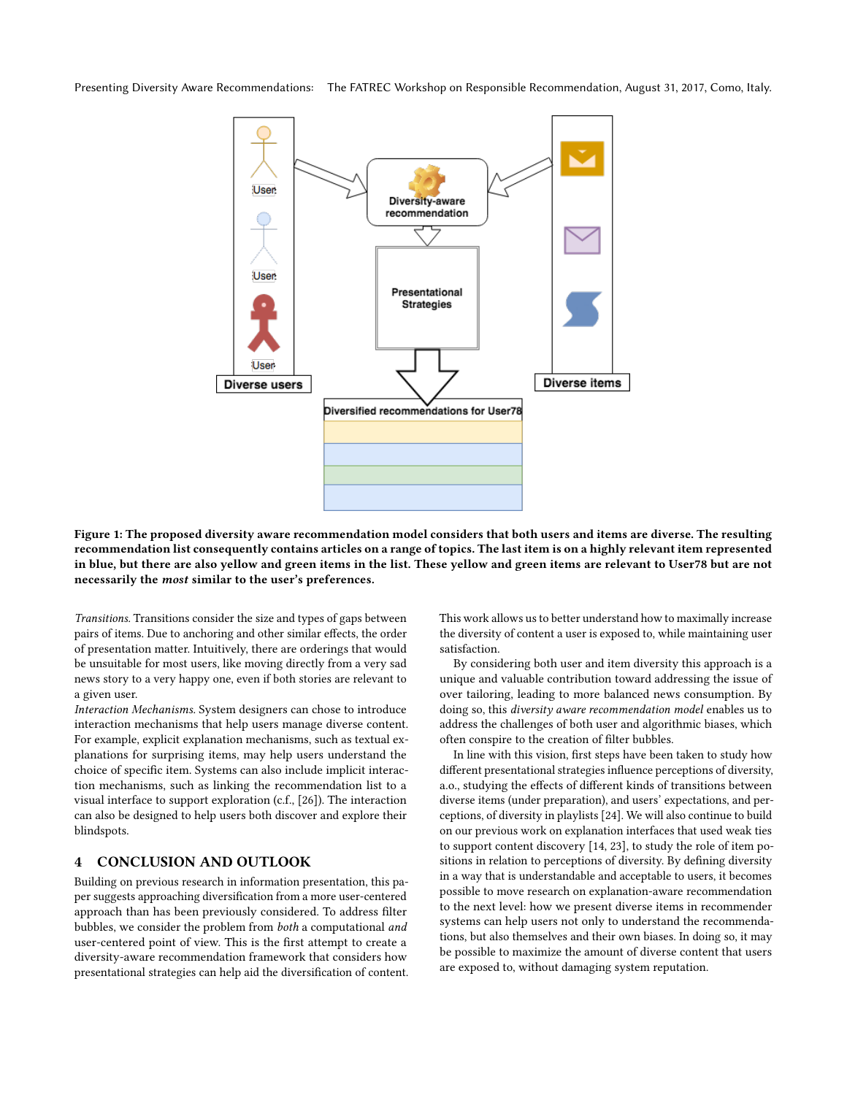<span id="page-2-0"></span>Presenting Diversity Aware Recommendations: The FATREC Workshop on Responsible Recommendation, August 31, 2017, Como, Italy.



Figure 1: The proposed diversity aware recommendation model considers that both users and items are diverse. The resulting recommendation list consequently contains articles on a range of topics. The last item is on a highly relevant item represented in blue, but there are also yellow and green items in the list. These yellow and green items are relevant to User78 but are not necessarily the most similar to the user's preferences.

Transitions. Transitions consider the size and types of gaps between pairs of items. Due to anchoring and other similar effects, the order of presentation matter. Intuitively, there are orderings that would be unsuitable for most users, like moving directly from a very sad news story to a very happy one, even if both stories are relevant to a given user.

Interaction Mechanisms. System designers can chose to introduce interaction mechanisms that help users manage diverse content. For example, explicit explanation mechanisms, such as textual explanations for surprising items, may help users understand the choice of specific item. Systems can also include implicit interaction mechanisms, such as linking the recommendation list to a visual interface to support exploration (c.f., [\[26\]](#page-3-31)). The interaction can also be designed to help users both discover and explore their blindspots.

# 4 CONCLUSION AND OUTLOOK

Building on previous research in information presentation, this paper suggests approaching diversification from a more user-centered approach than has been previously considered. To address filter bubbles, we consider the problem from both a computational and user-centered point of view. This is the first attempt to create a diversity-aware recommendation framework that considers how presentational strategies can help aid the diversification of content.

This work allows us to better understand how to maximally increase the diversity of content a user is exposed to, while maintaining user satisfaction.

By considering both user and item diversity this approach is a unique and valuable contribution toward addressing the issue of over tailoring, leading to more balanced news consumption. By doing so, this diversity aware recommendation model enables us to address the challenges of both user and algorithmic biases, which often conspire to the creation of filter bubbles.

In line with this vision, first steps have been taken to study how different presentational strategies influence perceptions of diversity, a.o., studying the effects of different kinds of transitions between diverse items (under preparation), and users' expectations, and perceptions, of diversity in playlists [\[24\]](#page-3-28). We will also continue to build on our previous work on explanation interfaces that used weak ties to support content discovery [\[14,](#page-3-9) [23\]](#page-3-10), to study the role of item positions in relation to perceptions of diversity. By defining diversity in a way that is understandable and acceptable to users, it becomes possible to move research on explanation-aware recommendation to the next level: how we present diverse items in recommender systems can help users not only to understand the recommendations, but also themselves and their own biases. In doing so, it may be possible to maximize the amount of diverse content that users are exposed to, without damaging system reputation.